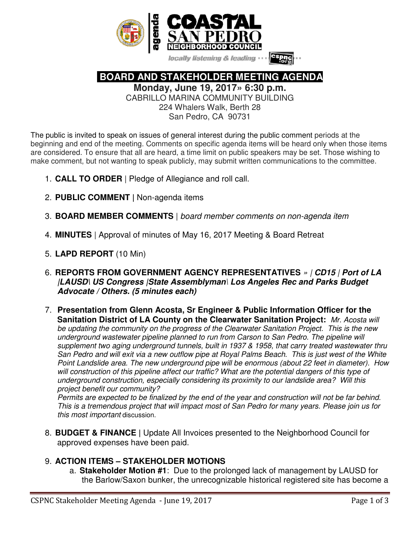

locally listening & leading

 **BOARD AND STAKEHOLDER MEETING AGENDA** 

**Monday, June 19, 2017» 6:30 p.m.** 

CABRILLO MARINA COMMUNITY BUILDING 224 Whalers Walk, Berth 28

San Pedro, CA 90731

The public is invited to speak on issues of general interest during the public comment periods at the beginning and end of the meeting. Comments on specific agenda items will be heard only when those items are considered. To ensure that all are heard, a time limit on public speakers may be set. Those wishing to make comment, but not wanting to speak publicly, may submit written communications to the committee.

- 1. **CALL TO ORDER** | Pledge of Allegiance and roll call.
- 2. **PUBLIC COMMENT |** Non-agenda items
- 3. **BOARD MEMBER COMMENTS** | board member comments on non-agenda item
- 4. **MINUTES** | Approval of minutes of May 16, 2017 Meeting & Board Retreat
- 5. **LAPD REPORT** (10 Min)
- 6. **REPORTS FROM GOVERNMENT AGENCY REPRESENTATIVES** » | **CD15** | **Port of LA |LAUSD\ US Congress |State Assemblyman**\ **Los Angeles Rec and Parks Budget Advocate / Others. (5 minutes each)**
- 7. **Presentation from Glenn Acosta, Sr Engineer & Public Information Officer for the Sanitation District of LA County on the Clearwater Sanitation Project:** Mr. Acosta will be updating the community on the progress of the Clearwater Sanitation Project. This is the new underground wastewater pipeline planned to run from Carson to San Pedro. The pipeline will supplement two aging underground tunnels, built in 1937 & 1958, that carry treated wastewater thru San Pedro and will exit via a new outflow pipe at Royal Palms Beach. This is just west of the White Point Landslide area. The new underground pipe will be enormous (about 22 feet in diameter). How will construction of this pipeline affect our traffic? What are the potential dangers of this type of underground construction, especially considering its proximity to our landslide area? Will this project benefit our community?

Permits are expected to be finalized by the end of the year and construction will not be far behind. This is a tremendous project that will impact most of San Pedro for many years. Please join us for this most important discussion.

8. **BUDGET & FINANCE |** Update All Invoices presented to the Neighborhood Council for approved expenses have been paid.

# 9. **ACTION ITEMS – STAKEHOLDER MOTIONS**

a. **Stakeholder Motion #1**: Due to the prolonged lack of management by LAUSD for the Barlow/Saxon bunker, the unrecognizable historical registered site has become a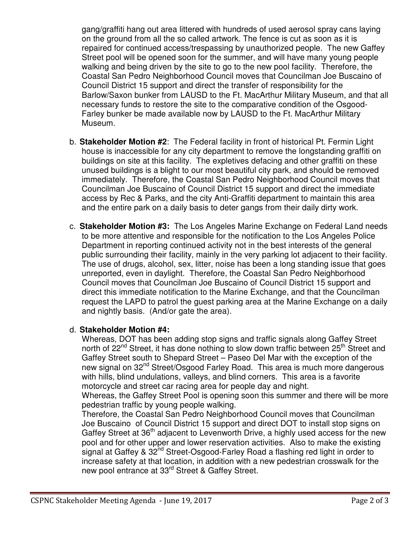gang/graffiti hang out area littered with hundreds of used aerosol spray cans laying on the ground from all the so called artwork. The fence is cut as soon as it is repaired for continued access/trespassing by unauthorized people. The new Gaffey Street pool will be opened soon for the summer, and will have many young people walking and being driven by the site to go to the new pool facility. Therefore, the Coastal San Pedro Neighborhood Council moves that Councilman Joe Buscaino of Council District 15 support and direct the transfer of responsibility for the Barlow/Saxon bunker from LAUSD to the Ft. MacArthur Military Museum, and that all necessary funds to restore the site to the comparative condition of the Osgood-Farley bunker be made available now by LAUSD to the Ft. MacArthur Military Museum.

- b. **Stakeholder Motion #2**: The Federal facility in front of historical Pt. Fermin Light house is inaccessible for any city department to remove the longstanding graffiti on buildings on site at this facility. The expletives defacing and other graffiti on these unused buildings is a blight to our most beautiful city park, and should be removed immediately. Therefore, the Coastal San Pedro Neighborhood Council moves that Councilman Joe Buscaino of Council District 15 support and direct the immediate access by Rec & Parks, and the city Anti-Graffiti department to maintain this area and the entire park on a daily basis to deter gangs from their daily dirty work.
- c. **Stakeholder Motion #3:** The Los Angeles Marine Exchange on Federal Land needs to be more attentive and responsible for the notification to the Los Angeles Police Department in reporting continued activity not in the best interests of the general public surrounding their facility, mainly in the very parking lot adjacent to their facility. The use of drugs, alcohol, sex, litter, noise has been a long standing issue that goes unreported, even in daylight. Therefore, the Coastal San Pedro Neighborhood Council moves that Councilman Joe Buscaino of Council District 15 support and direct this immediate notification to the Marine Exchange, and that the Councilman request the LAPD to patrol the guest parking area at the Marine Exchange on a daily and nightly basis. (And/or gate the area).

## d. **Stakeholder Motion #4:**

Whereas, DOT has been adding stop signs and traffic signals along Gaffey Street north of 22<sup>nd</sup> Street, it has done nothing to slow down traffic between 25<sup>th</sup> Street and Gaffey Street south to Shepard Street – Paseo Del Mar with the exception of the new signal on 32<sup>nd</sup> Street/Osgood Farley Road. This area is much more dangerous with hills, blind undulations, valleys, and blind corners. This area is a favorite motorcycle and street car racing area for people day and night.

Whereas, the Gaffey Street Pool is opening soon this summer and there will be more pedestrian traffic by young people walking.

Therefore, the Coastal San Pedro Neighborhood Council moves that Councilman Joe Buscaino of Council District 15 support and direct DOT to install stop signs on Gaffey Street at  $36<sup>th</sup>$  adjacent to Levenworth Drive, a highly used access for the new pool and for other upper and lower reservation activities. Also to make the existing signal at Gaffey & 32<sup>nd</sup> Street-Osgood-Farley Road a flashing red light in order to increase safety at that location, in addition with a new pedestrian crosswalk for the new pool entrance at 33<sup>rd</sup> Street & Gaffey Street.